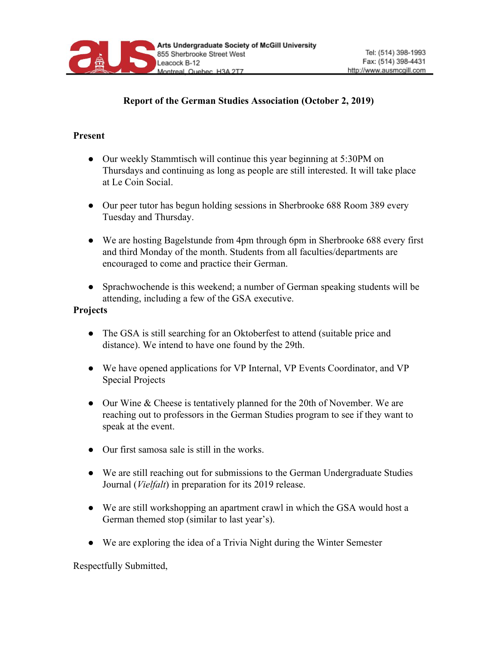

## **Report of the German Studies Association (October 2, 2019)**

## **Present**

- Our weekly Stammtisch will continue this year beginning at 5:30PM on Thursdays and continuing as long as people are still interested. It will take place at Le Coin Social.
- Our peer tutor has begun holding sessions in Sherbrooke 688 Room 389 every Tuesday and Thursday.
- We are hosting Bagelstunde from 4pm through 6pm in Sherbrooke 688 every first and third Monday of the month. Students from all faculties/departments are encouraged to come and practice their German.
- Sprachwochende is this weekend; a number of German speaking students will be attending, including a few of the GSA executive.

## **Projects**

- The GSA is still searching for an Oktoberfest to attend (suitable price and distance). We intend to have one found by the 29th.
- We have opened applications for VP Internal, VP Events Coordinator, and VP Special Projects
- Our Wine & Cheese is tentatively planned for the 20th of November. We are reaching out to professors in the German Studies program to see if they want to speak at the event.
- Our first samosa sale is still in the works.
- We are still reaching out for submissions to the German Undergraduate Studies Journal (*Vielfalt*) in preparation for its 2019 release.
- We are still workshopping an apartment crawl in which the GSA would host a German themed stop (similar to last year's).
- We are exploring the idea of a Trivia Night during the Winter Semester

Respectfully Submitted,